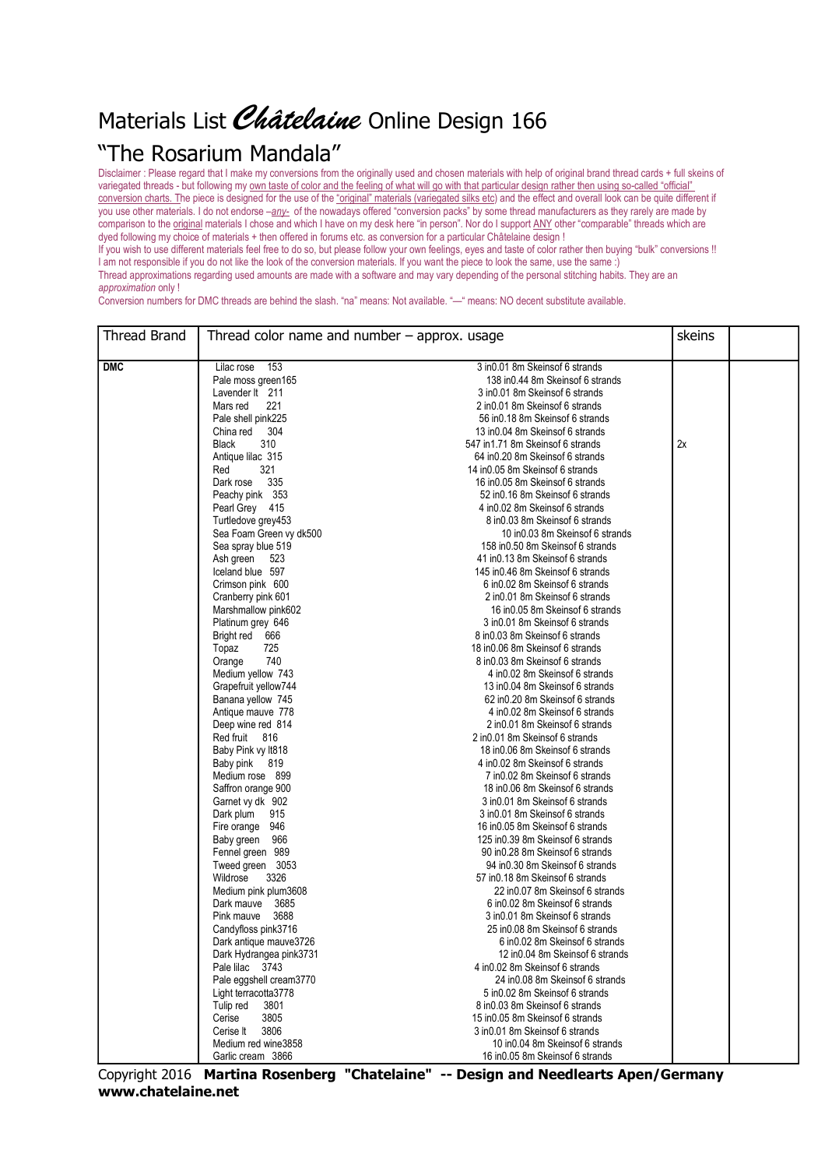## Materials List Châtelaine Online Design 166

## "The Rosarium Mandala"

Disclaimer : Please regard that I make my conversions from the originally used and chosen materials with help of original brand thread cards + full skeins of variegated threads - but following my own taste of color and the feeling of what will go with that particular design rather then using so-called "official" conversion charts. The piece is designed for the use of the "original" materials (variegated silks etc) and the effect and overall look can be quite different if you use other materials. I do not endorse –*any-* of the nowadays offered "conversion packs" by some thread manufacturers as they rarely are made by comparison to the original materials I chose and which I have on my desk here "in person". Nor do I support ANY other "comparable" threads which are dyed following my choice of materials + then offered in forums etc. as conversion for a particular Châtelaine design !

If you wish to use different materials feel free to do so, but please follow your own feelings, eyes and taste of color rather then buying "bulk" conversions !! I am not responsible if you do not like the look of the conversion materials. If you want the piece to look the same, use the same :) Thread approximations regarding used amounts are made with a software and may vary depending of the personal stitching habits. They are an *approximation* only !

Conversion numbers for DMC threads are behind the slash. "na" means: Not available. "—" means: NO decent substitute available.

| Thread Brand | Thread color name and number $-$ approx. usage |                                                                       |    |  |
|--------------|------------------------------------------------|-----------------------------------------------------------------------|----|--|
| <b>DMC</b>   | 153<br>Lilac rose                              | 3 in 0.01 8m Skeins of 6 strands                                      |    |  |
|              | Pale moss green165                             | 138 in 0.44 8m Skeins of 6 strands                                    |    |  |
|              | Lavender It 211                                | 3 in 0.01 8m Skeins of 6 strands                                      |    |  |
|              | Mars red<br>221                                | 2 in 0.01 8m Skeins of 6 strands                                      |    |  |
|              | Pale shell pink225                             | 56 in 0.18 8m Skeins of 6 strands                                     |    |  |
|              | 304<br>China red                               | 13 in 0.04 8m Skeins of 6 strands                                     |    |  |
|              | 310<br><b>Black</b>                            | 547 in1.71 8m Skeinsof 6 strands                                      | 2x |  |
|              | Antique lilac 315                              | 64 in 0.20 8m Skeins of 6 strands                                     |    |  |
|              | 321                                            | 14 in 0.05 8m Skeins of 6 strands                                     |    |  |
|              | Red<br>335<br>Dark rose                        | 16 in 0.05 8m Skeins of 6 strands                                     |    |  |
|              |                                                |                                                                       |    |  |
|              | Peachy pink 353<br>Pearl Grey 415              | 52 in 0.16 8m Skeins of 6 strands<br>4 in 0.02 8m Skeins of 6 strands |    |  |
|              |                                                | 8 in 0.03 8m Skeins of 6 strands                                      |    |  |
|              | Turtledove grey453                             |                                                                       |    |  |
|              | Sea Foam Green vy dk500                        | 10 in 0.03 8m Skeins of 6 strands                                     |    |  |
|              | Sea spray blue 519                             | 158 in 0.50 8m Skeins of 6 strands                                    |    |  |
|              | Ash green 523                                  | 41 in 0.13 8m Skeins of 6 strands                                     |    |  |
|              | Iceland blue 597                               | 145 in 0.46 8m Skeins of 6 strands                                    |    |  |
|              | Crimson pink 600                               | 6 in 0.02 8m Skeins of 6 strands                                      |    |  |
|              | Cranberry pink 601                             | 2 in 0.01 8m Skeins of 6 strands                                      |    |  |
|              | Marshmallow pink602                            | 16 in 0.05 8m Skeins of 6 strands                                     |    |  |
|              | Platinum grey 646                              | 3 in 0.01 8m Skeins of 6 strands<br>8 in 0.03 8m Skeins of 6 strands  |    |  |
|              | Bright red 666                                 |                                                                       |    |  |
|              | 725<br>Topaz                                   | 18 in 0.06 8m Skeins of 6 strands                                     |    |  |
|              | 740<br>Orange                                  | 8 in 0.03 8m Skeins of 6 strands                                      |    |  |
|              | Medium yellow 743                              | 4 in 0.02 8m Skeins of 6 strands                                      |    |  |
|              | Grapefruit yellow744                           | 13 in 0.04 8m Skeins of 6 strands                                     |    |  |
|              | Banana yellow 745                              | 62 in 0.20 8m Skeins of 6 strands                                     |    |  |
|              | Antique mauve 778                              | 4 in 0.02 8m Skeins of 6 strands                                      |    |  |
|              | Deep wine red 814                              | 2 in 0.01 8m Skeins of 6 strands                                      |    |  |
|              | Red fruit 816                                  | 2 in 0.01 8m Skeins of 6 strands                                      |    |  |
|              | Baby Pink vy It818                             | 18 in 0.06 8m Skeins of 6 strands                                     |    |  |
|              | Baby pink 819                                  | 4 in 0.02 8m Skeins of 6 strands                                      |    |  |
|              | Medium rose 899                                | 7 in 0.02 8m Skeins of 6 strands                                      |    |  |
|              | Saffron orange 900                             | 18 in 0.06 8m Skeins of 6 strands                                     |    |  |
|              | Garnet vy dk 902                               | 3 in 0.01 8m Skeins of 6 strands                                      |    |  |
|              | Dark plum<br>915                               | 3 in 0.01 8m Skeins of 6 strands                                      |    |  |
|              | Fire orange 946                                | 16 in 0.05 8m Skeins of 6 strands                                     |    |  |
|              | Baby green 966                                 | 125 in 0.39 8m Skeins of 6 strands                                    |    |  |
|              | Fennel green 989                               | 90 in 0.28 8m Skeins of 6 strands                                     |    |  |
|              | Tweed green 3053                               | 94 in 0.30 8m Skeins of 6 strands                                     |    |  |
|              | Wildrose<br>3326                               | 57 in 0.18 8m Skeins of 6 strands                                     |    |  |
|              | Medium pink plum3608                           | 22 in0.07 8m Skeinsof 6 strands                                       |    |  |
|              | Dark mauve 3685                                | 6 in 0.02 8m Skeins of 6 strands                                      |    |  |
|              | 3688<br>Pink mauve                             | 3 in 0.01 8m Skeins of 6 strands                                      |    |  |
|              | Candyfloss pink3716                            | 25 in 0.08 8m Skeins of 6 strands                                     |    |  |
|              | Dark antique mauve3726                         | 6 in 0.02 8m Skeins of 6 strands                                      |    |  |
|              | Dark Hydrangea pink3731                        | 12 in 0.04 8m Skeins of 6 strands                                     |    |  |
|              | Pale lilac 3743                                | 4 in 0.02 8m Skeins of 6 strands                                      |    |  |
|              | Pale eggshell cream3770                        | 24 in 0.08 8m Skeins of 6 strands                                     |    |  |
|              | Light terracotta3778                           | 5 in 0.02 8m Skeins of 6 strands                                      |    |  |
|              | Tulip red<br>3801                              | 8 in 0.03 8m Skeins of 6 strands                                      |    |  |
|              | 3805<br>Cerise                                 | 15 in 0.05 8m Skeins of 6 strands                                     |    |  |
|              | 3806<br>Cerise It                              | 3 in 0.01 8m Skeins of 6 strands                                      |    |  |
|              | Medium red wine3858                            | 10 in0.04 8m Skeinsof 6 strands                                       |    |  |
|              | Garlic cream 3866                              | 16 in 0.05 8m Skeins of 6 strands                                     |    |  |

Copyright 2016 **Martina Rosenberg "Chatelaine" -- Design and Needlearts Apen/Germany www.chatelaine.net**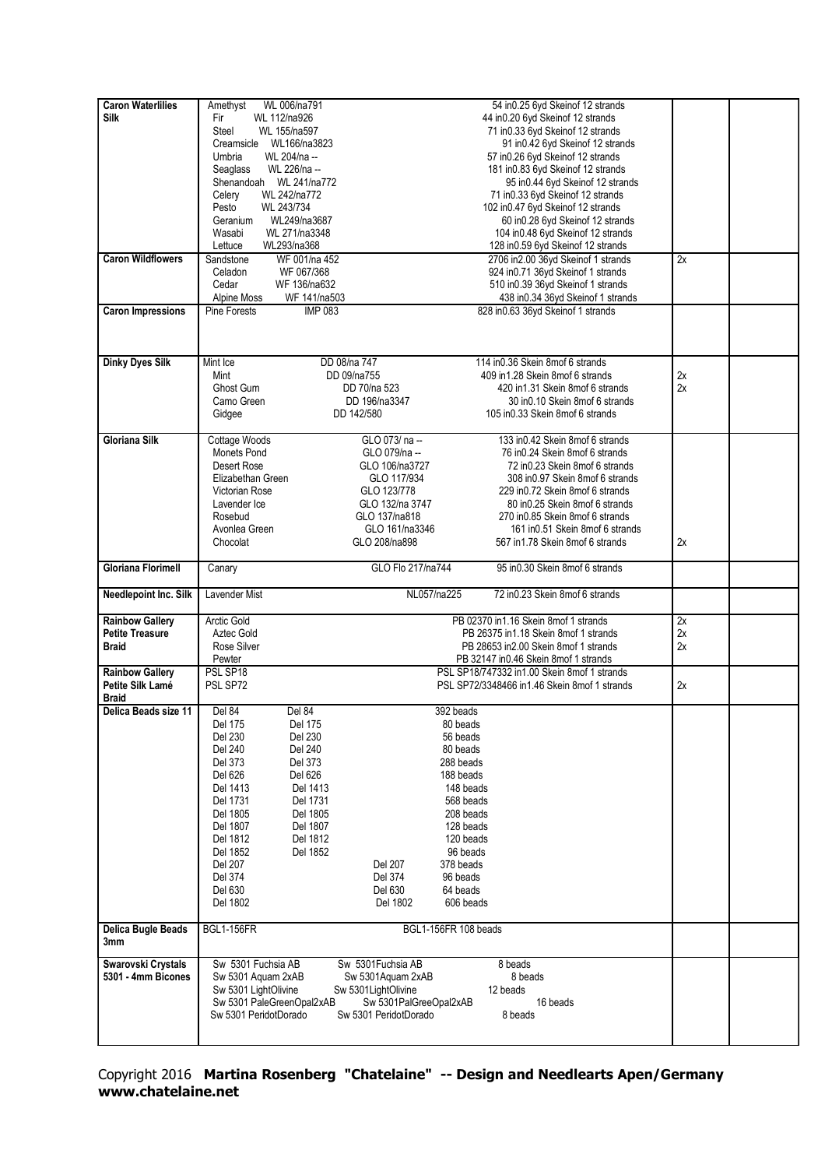| <b>Caron Waterlilies</b>  | WL 006/na791<br>Amethyst       |                        | 54 in0.25 6yd Skeinof 12 strands             |    |  |
|---------------------------|--------------------------------|------------------------|----------------------------------------------|----|--|
| <b>Silk</b>               | Fir<br>WL 112/na926            |                        | 44 in 0.20 6yd Skein of 12 strands           |    |  |
|                           | Steel<br>WL 155/na597          |                        | 71 in 0.33 6yd Skein of 12 strands           |    |  |
|                           | Creamsicle WL166/na3823        |                        | 91 in 0.42 6yd Skeinof 12 strands            |    |  |
|                           |                                |                        |                                              |    |  |
|                           | Umbria<br>WL 204/na --         |                        | 57 in 0.26 6yd Skein of 12 strands           |    |  |
|                           | WL 226/na --<br>Seaglass       |                        | 181 in 0.83 6yd Skein of 12 strands          |    |  |
|                           | Shenandoah WL 241/na772        |                        | 95 in 0.44 6yd Skein of 12 strands           |    |  |
|                           | Celery<br>WL 242/na772         |                        | 71 in0.33 6yd Skeinof 12 strands             |    |  |
|                           | WL 243/734<br>Pesto            |                        | 102 in0.47 6yd Skeinof 12 strands            |    |  |
|                           | WL249/na3687<br>Geranium       |                        | 60 in 0.28 6yd Skeinof 12 strands            |    |  |
|                           | WL 271/na3348<br>Wasabi        |                        | 104 in 0.48 6yd Skein of 12 strands          |    |  |
|                           | WL293/na368<br>Lettuce         |                        | 128 in0.59 6yd Skeinof 12 strands            |    |  |
| <b>Caron Wildflowers</b>  | WF 001/na 452<br>Sandstone     |                        | 2706 in 2.00 36yd Skeinof 1 strands          | 2x |  |
|                           | WF 067/368<br>Celadon          |                        | 924 in0.71 36yd Skeinof 1 strands            |    |  |
|                           | WF 136/na632<br>Cedar          |                        | 510 in 0.39 36yd Skein of 1 strands          |    |  |
|                           | WF 141/na503<br>Alpine Moss    |                        | 438 in0.34 36yd Skeinof 1 strands            |    |  |
| <b>Caron Impressions</b>  | Pine Forests<br><b>IMP 083</b> |                        | 828 in0.63 36yd Skeinof 1 strands            |    |  |
|                           |                                |                        |                                              |    |  |
|                           |                                |                        |                                              |    |  |
|                           |                                |                        |                                              |    |  |
|                           | Mint Ice                       | DD 08/na 747           | 114 in 0.36 Skein 8mof 6 strands             |    |  |
| <b>Dinky Dyes Silk</b>    |                                |                        |                                              |    |  |
|                           | Mint                           | DD 09/na755            | 409 in 1.28 Skein 8mof 6 strands             | 2x |  |
|                           | Ghost Gum                      | DD 70/na 523           | 420 in1.31 Skein 8mof 6 strands              | 2x |  |
|                           | Camo Green                     | DD 196/na3347          | 30 in 0.10 Skein 8mof 6 strands              |    |  |
|                           | Gidgee                         | DD 142/580             | 105 in 0.33 Skein 8m of 6 strands            |    |  |
|                           |                                |                        |                                              |    |  |
| <b>Gloriana Silk</b>      | Cottage Woods                  | GLO 073/ na --         | 133 in0.42 Skein 8mof 6 strands              |    |  |
|                           | Monets Pond                    | GLO 079/na --          | 76 in 0.24 Skein 8mof 6 strands              |    |  |
|                           | Desert Rose                    | GLO 106/na3727         | 72 in0.23 Skein 8mof 6 strands               |    |  |
|                           | Elizabethan Green              | GLO 117/934            | 308 in 0.97 Skein 8m of 6 strands            |    |  |
|                           | <b>Victorian Rose</b>          | GLO 123/778            | 229 in 0.72 Skein 8m of 6 strands            |    |  |
|                           | Lavender Ice                   | GLO 132/na 3747        | 80 in 0.25 Skein 8mof 6 strands              |    |  |
|                           | Rosebud                        | GLO 137/na818          | 270 in 0.85 Skein 8m of 6 strands            |    |  |
|                           | Avonlea Green                  | GLO 161/na3346         | 161 in 0.51 Skein 8m of 6 strands            |    |  |
|                           | Chocolat                       | GLO 208/na898          | 567 in1.78 Skein 8mof 6 strands              | 2x |  |
|                           |                                |                        |                                              |    |  |
| <b>Gloriana Florimell</b> | Canary                         | GLO Flo 217/na744      | 95 in 0.30 Skein 8mof 6 strands              |    |  |
|                           |                                |                        |                                              |    |  |
| Needlepoint Inc. Silk     | Lavender Mist                  | NL057/na225            | 72 in0.23 Skein 8mof 6 strands               |    |  |
|                           |                                |                        |                                              |    |  |
| <b>Rainbow Gallery</b>    | Arctic Gold                    |                        | PB 02370 in1.16 Skein 8mof 1 strands         | 2x |  |
|                           |                                |                        |                                              |    |  |
| <b>Petite Treasure</b>    | Aztec Gold                     |                        | PB 26375 in1.18 Skein 8mof 1 strands         | 2x |  |
| <b>Braid</b>              | Rose Silver                    |                        | PB 28653 in 2.00 Skein 8 mof 1 strands       | 2x |  |
|                           | Pewter                         |                        | PB 32147 in 0.46 Skein 8 mof 1 strands       |    |  |
| <b>Rainbow Gallery</b>    | PSL SP18                       |                        | PSL SP18/747332 in1.00 Skein 8mof 1 strands  |    |  |
| Petite Silk Lamé          | PSL SP72                       |                        | PSL SP72/3348466 in1.46 Skein 8mof 1 strands | 2x |  |
| <b>Braid</b>              |                                |                        |                                              |    |  |
| Delica Beads size 11      | Del 84<br>Del 84               |                        | 392 beads                                    |    |  |
|                           | <b>Del 175</b><br>Del 175      |                        | 80 beads                                     |    |  |
|                           | Del 230<br>Del 230             |                        | 56 beads                                     |    |  |
|                           | Del 240<br>Del 240             |                        | 80 beads                                     |    |  |
|                           | Del 373<br>Del 373             |                        | 288 beads                                    |    |  |
|                           | Del 626<br>Del 626             |                        | 188 beads                                    |    |  |
|                           | Del 1413<br>Del 1413           |                        | 148 beads                                    |    |  |
|                           | Del 1731<br>Del 1731           |                        | 568 beads                                    |    |  |
|                           | Del 1805<br>Del 1805           |                        | 208 beads                                    |    |  |
|                           | Del 1807<br>Del 1807           |                        | 128 beads                                    |    |  |
|                           |                                |                        |                                              |    |  |
|                           | Del 1812<br>Del 1812           |                        | 120 beads                                    |    |  |
|                           | Del 1852<br>Del 1852           |                        | 96 beads                                     |    |  |
|                           | Del 207                        | Del 207                | 378 beads                                    |    |  |
|                           | Del 374                        | Del 374                | 96 beads                                     |    |  |
|                           | Del 630                        | Del 630                | 64 beads                                     |    |  |
|                           | Del 1802                       | Del 1802               | 606 beads                                    |    |  |
|                           |                                |                        |                                              |    |  |
| Delica Bugle Beads        | <b>BGL1-156FR</b>              |                        | BGL1-156FR 108 beads                         |    |  |
| 3mm                       |                                |                        |                                              |    |  |
| Swarovski Crystals        | Sw 5301 Fuchsia AB             | Sw 5301Fuchsia AB      | 8 beads                                      |    |  |
| 5301 - 4mm Bicones        | Sw 5301 Aquam 2xAB             | Sw 5301Aquam 2xAB      | 8 beads                                      |    |  |
|                           |                                |                        |                                              |    |  |
|                           | Sw 5301 LightOlivine           | Sw 5301LightOlivine    | 12 beads<br>16 beads                         |    |  |
|                           | Sw 5301 PaleGreenOpal2xAB      | Sw 5301PalGreeOpal2xAB |                                              |    |  |
|                           | Sw 5301 PeridotDorado          | Sw 5301 PeridotDorado  | 8 beads                                      |    |  |
|                           |                                |                        |                                              |    |  |
|                           |                                |                        |                                              |    |  |